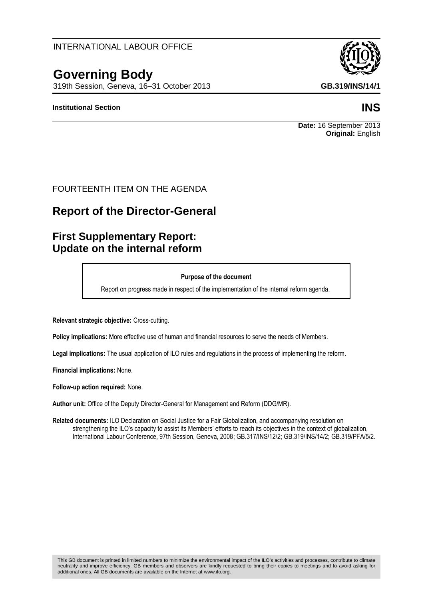### This GB document is printed in limited numbers to minimize the environmental impact of the ILO's activities and processes, contribute to climate neutrality and improve efficiency. GB members and observers are kindly requested to bring their copies to meetings and to avoid asking for additional ones. All GB documents are available on the Internet at www.ilo.org.

### INTERNATIONAL LABOUR OFFICE

# **Governing Body**

319th Session, Geneva, 16–31 October 2013 **GB.319/INS/14/1**

### **Institutional Section INS**

## FOURTEENTH ITEM ON THE AGENDA

# **Report of the Director-General**

# **First Supplementary Report: Update on the internal reform**

#### **Purpose of the document**

Report on progress made in respect of the implementation of the internal reform agenda.

**Relevant strategic objective:** Cross-cutting.

**Policy implications:** More effective use of human and financial resources to serve the needs of Members.

**Legal implications:** The usual application of ILO rules and regulations in the process of implementing the reform.

**Financial implications:** None.

**Follow-up action required:** None.

**Author unit:** Office of the Deputy Director-General for Management and Reform (DDG/MR).

**Related documents:** ILO Declaration on Social Justice for a Fair Globalization, and accompanying resolution on strengthening the ILO's capacity to assist its Members' efforts to reach its objectives in the context of globalization, International Labour Conference, 97th Session, Geneva, 2008; GB.317/INS/12/2; GB.319/INS/14/2; GB.319/PFA/5/2.



**Original:** English

**Date:** 16 September 2013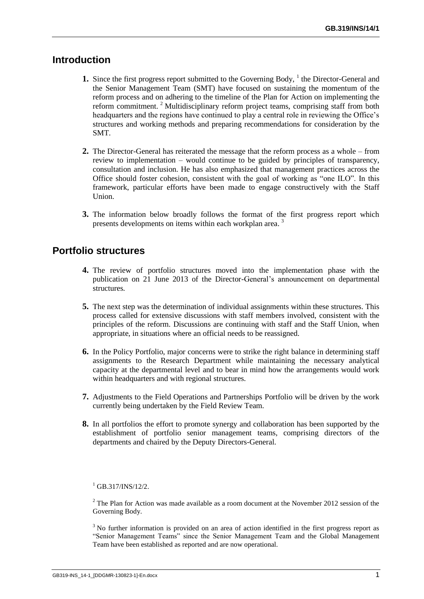# **Introduction**

- **1.** Since the first progress report submitted to the Governing Body, <sup>1</sup> the Director-General and the Senior Management Team (SMT) have focused on sustaining the momentum of the reform process and on adhering to the timeline of the Plan for Action on implementing the reform commitment.<sup>2</sup> Multidisciplinary reform project teams, comprising staff from both headquarters and the regions have continued to play a central role in reviewing the Office's structures and working methods and preparing recommendations for consideration by the SMT.
- **2.** The Director-General has reiterated the message that the reform process as a whole from review to implementation – would continue to be guided by principles of transparency, consultation and inclusion. He has also emphasized that management practices across the Office should foster cohesion, consistent with the goal of working as "one ILO". In this framework, particular efforts have been made to engage constructively with the Staff Union.
- **3.** The information below broadly follows the format of the first progress report which presents developments on items within each workplan area.<sup>3</sup>

## **Portfolio structures**

- **4.** The review of portfolio structures moved into the implementation phase with the publication on 21 June 2013 of the Director-General's announcement on departmental structures.
- **5.** The next step was the determination of individual assignments within these structures. This process called for extensive discussions with staff members involved, consistent with the principles of the reform. Discussions are continuing with staff and the Staff Union, when appropriate, in situations where an official needs to be reassigned.
- **6.** In the Policy Portfolio, major concerns were to strike the right balance in determining staff assignments to the Research Department while maintaining the necessary analytical capacity at the departmental level and to bear in mind how the arrangements would work within headquarters and with regional structures.
- **7.** Adjustments to the Field Operations and Partnerships Portfolio will be driven by the work currently being undertaken by the Field Review Team.
- **8.** In all portfolios the effort to promote synergy and collaboration has been supported by the establishment of portfolio senior management teams, comprising directors of the departments and chaired by the Deputy Directors-General.

#### $^{1}$  GB.317/INS/12/2.

 $2$ <sup>2</sup> The Plan for Action was made available as a room document at the November 2012 session of the Governing Body.

<sup>3</sup> No further information is provided on an area of action identified in the first progress report as "Senior Management Teams" since the Senior Management Team and the Global Management Team have been established as reported and are now operational.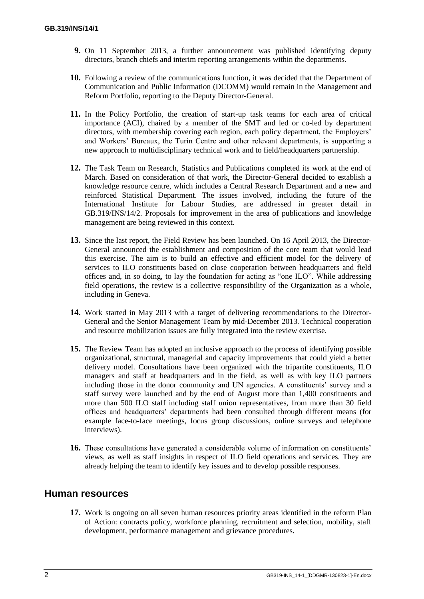- **9.** On 11 September 2013, a further announcement was published identifying deputy directors, branch chiefs and interim reporting arrangements within the departments.
- **10.** Following a review of the communications function, it was decided that the Department of Communication and Public Information (DCOMM) would remain in the Management and Reform Portfolio, reporting to the Deputy Director-General.
- **11.** In the Policy Portfolio, the creation of start-up task teams for each area of critical importance (ACI), chaired by a member of the SMT and led or co-led by department directors, with membership covering each region, each policy department, the Employers' and Workers' Bureaux, the Turin Centre and other relevant departments, is supporting a new approach to multidisciplinary technical work and to field/headquarters partnership.
- **12.** The Task Team on Research, Statistics and Publications completed its work at the end of March. Based on consideration of that work, the Director-General decided to establish a knowledge resource centre, which includes a Central Research Department and a new and reinforced Statistical Department. The issues involved, including the future of the International Institute for Labour Studies, are addressed in greater detail in GB.319/INS/14/2. Proposals for improvement in the area of publications and knowledge management are being reviewed in this context.
- **13.** Since the last report, the Field Review has been launched. On 16 April 2013, the Director-General announced the establishment and composition of the core team that would lead this exercise. The aim is to build an effective and efficient model for the delivery of services to ILO constituents based on close cooperation between headquarters and field offices and, in so doing, to lay the foundation for acting as "one ILO". While addressing field operations, the review is a collective responsibility of the Organization as a whole, including in Geneva.
- **14.** Work started in May 2013 with a target of delivering recommendations to the Director-General and the Senior Management Team by mid-December 2013. Technical cooperation and resource mobilization issues are fully integrated into the review exercise.
- **15.** The Review Team has adopted an inclusive approach to the process of identifying possible organizational, structural, managerial and capacity improvements that could yield a better delivery model. Consultations have been organized with the tripartite constituents, ILO managers and staff at headquarters and in the field, as well as with key ILO partners including those in the donor community and UN agencies. A constituents' survey and a staff survey were launched and by the end of August more than 1,400 constituents and more than 500 ILO staff including staff union representatives, from more than 30 field offices and headquarters' departments had been consulted through different means (for example face-to-face meetings, focus group discussions, online surveys and telephone interviews).
- **16.** These consultations have generated a considerable volume of information on constituents' views, as well as staff insights in respect of ILO field operations and services. They are already helping the team to identify key issues and to develop possible responses.

### **Human resources**

**17.** Work is ongoing on all seven human resources priority areas identified in the reform Plan of Action: contracts policy, workforce planning, recruitment and selection, mobility, staff development, performance management and grievance procedures.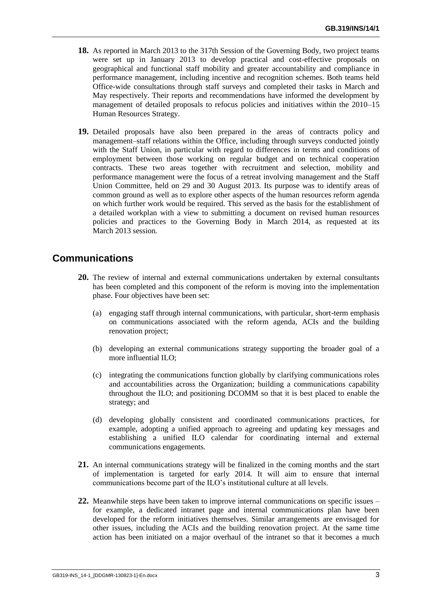- **18.** As reported in March 2013 to the 317th Session of the Governing Body, two project teams were set up in January 2013 to develop practical and cost-effective proposals on geographical and functional staff mobility and greater accountability and compliance in performance management, including incentive and recognition schemes. Both teams held Office-wide consultations through staff surveys and completed their tasks in March and May respectively. Their reports and recommendations have informed the development by management of detailed proposals to refocus policies and initiatives within the 2010–15 Human Resources Strategy.
- **19.** Detailed proposals have also been prepared in the areas of contracts policy and management–staff relations within the Office, including through surveys conducted jointly with the Staff Union, in particular with regard to differences in terms and conditions of employment between those working on regular budget and on technical cooperation contracts. These two areas together with recruitment and selection, mobility and performance management were the focus of a retreat involving management and the Staff Union Committee, held on 29 and 30 August 2013. Its purpose was to identify areas of common ground as well as to explore other aspects of the human resources reform agenda on which further work would be required. This served as the basis for the establishment of a detailed workplan with a view to submitting a document on revised human resources policies and practices to the Governing Body in March 2014, as requested at its March 2013 session.

# **Communications**

- **20.** The review of internal and external communications undertaken by external consultants has been completed and this component of the reform is moving into the implementation phase. Four objectives have been set:
	- (a) engaging staff through internal communications, with particular, short-term emphasis on communications associated with the reform agenda, ACIs and the building renovation project;
	- (b) developing an external communications strategy supporting the broader goal of a more influential ILO;
	- (c) integrating the communications function globally by clarifying communications roles and accountabilities across the Organization; building a communications capability throughout the ILO; and positioning DCOMM so that it is best placed to enable the strategy; and
	- (d) developing globally consistent and coordinated communications practices, for example, adopting a unified approach to agreeing and updating key messages and establishing a unified ILO calendar for coordinating internal and external communications engagements.
- **21.** An internal communications strategy will be finalized in the coming months and the start of implementation is targeted for early 2014. It will aim to ensure that internal communications become part of the ILO's institutional culture at all levels.
- **22.** Meanwhile steps have been taken to improve internal communications on specific issues for example, a dedicated intranet page and internal communications plan have been developed for the reform initiatives themselves. Similar arrangements are envisaged for other issues, including the ACIs and the building renovation project. At the same time action has been initiated on a major overhaul of the intranet so that it becomes a much